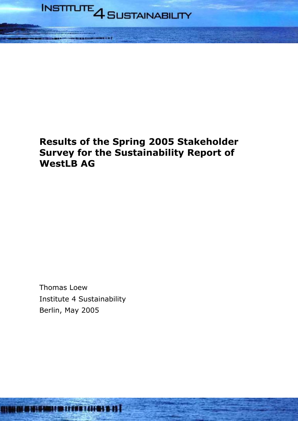

# **Results of the Spring 2005 Stakeholder Survey for the Sustainability Report of WestLB AG**

Thomas Loew Institute 4 Sustainability Berlin, May 2005

1114 11411111111111111111111111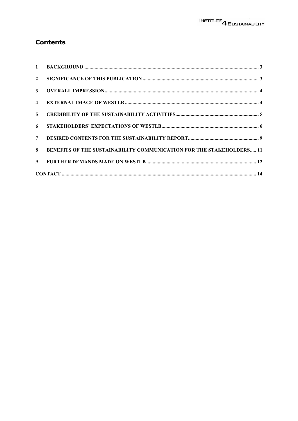# **Contents**

| $\mathbf{2}$   |                                                                      |
|----------------|----------------------------------------------------------------------|
| 3 <sup>1</sup> |                                                                      |
|                |                                                                      |
| 5 <sup>5</sup> |                                                                      |
| 6              |                                                                      |
| 7 <sup>7</sup> |                                                                      |
| 8              | BENEFITS OF THE SUSTAINABILITY COMMUNICATION FOR THE STAKEHOLDERS 11 |
| 9 <sup>1</sup> |                                                                      |
|                |                                                                      |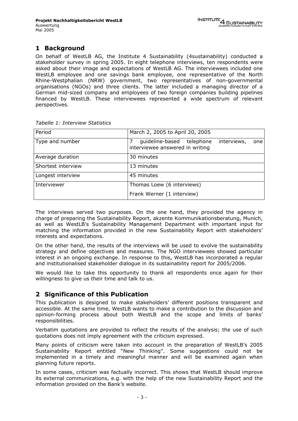# **1 Background**

On behalf of WestLB AG, the Institute 4 Sustainability (4sustainability) conducted a stakeholder survey in spring 2005. In eight telephone interviews, ten respondents were asked about their image and expectations of WestLB AG. The interviewees included one WestLB employee and one savings bank employee, one representative of the North Rhine-Westphalian (NRW) government, two representatives of non-governmental organisations (NGOs) and three clients. The latter included a managing director of a German mid-sized company and employees of two foreign companies building pipelines financed by WestLB. These interviewees represented a wide spectrum of relevant perspectives.

| Period             | March 2, 2005 to April 20, 2005                                                    |
|--------------------|------------------------------------------------------------------------------------|
| Type and number    | guideline-based telephone<br>interviews,<br>one<br>interviewee answered in writing |
| Average duration   | 30 minutes                                                                         |
| Shortest interview | 13 minutes                                                                         |
| Longest interview  | 45 minutes                                                                         |
| Interviewer        | Thomas Loew (6 interviews)                                                         |
|                    | Frank Werner (1 interview)                                                         |

*Tabelle 1: Interview Statistics* 

The interviews served two purposes. On the one hand, they provided the agency in charge of preparing the Sustainability Report, akzente Kommunikationsberatung, Munich, as well as WestLB's Sustainability Management Department with important input for matching the information provided in the new Sustainability Report with stakeholders' interests and expectations.

On the other hand, the results of the interviews will be used to evolve the sustainability strategy and define objectives and measures. The NGO interviewees showed particular interest in an ongoing exchange. In response to this, WestLB has incorporated a regular and institutionalised stakeholder dialogue in its sustainability report for 2005/2006.

We would like to take this opportunity to thank all respondents once again for their willingness to give us their time and talk to us.

# **2 Significance of this Publication**

This publication is designed to make stakeholders' different positions transparent and accessible. At the same time, WestLB wants to make a contribution to the discussion and opinion-forming process about both WestLB and the scope and limits of banks' responsibilities.

Verbatim quotations are provided to reflect the results of the analysis; the use of such quotations does not imply agreement with the criticism expressed.

Many points of criticism were taken into account in the preparation of WestLB's 2005 Sustainability Report entitled "New Thinking". Some suggestions could not be implemented in a timely and meaningful manner and will be examined again when planning future reports.

In some cases, criticism was factually incorrect. This shows that WestLB should improve its external communications, e.g. with the help of the new Sustainability Report and the information provided on the Bank's website.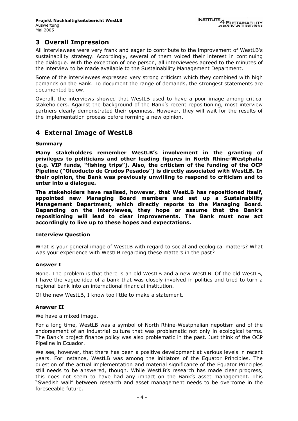# **3 Overall Impression**

All interviewees were very frank and eager to contribute to the improvement of WestLB's sustainability strategy. Accordingly, several of them voiced their interest in continuing the dialogue. With the exception of one person, all interviewees agreed to the minutes of the interview to be made available to the Sustainability Management Department.

Some of the interviewees expressed very strong criticism which they combined with high demands on the Bank. To document the range of demands, the strongest statements are documented below.

Overall, the interviews showed that WestLB used to have a poor image among critical stakeholders. Against the background of the Bank's recent repositioning, most interview partners clearly demonstrated their openness. However, they will wait for the results of the implementation process before forming a new opinion.

# **4 External Image of WestLB**

### **Summary**

**Many stakeholders remember WestLB's involvement in the granting of privileges to politicians and other leading figures in North Rhine-Westphalia (e.g. VIP funds, "fishing trips"). Also, the criticism of the funding of the OCP Pipeline ("Oleoducto de Crudos Pesados") is directly associated with WestLB. In their opinion, the Bank was previously unwilling to respond to criticism and to enter into a dialogue.** 

**The stakeholders have realised, however, that WestLB has repositioned itself, appointed new Managing Board members and set up a Sustainability Management Department, which directly reports to the Managing Board. Depending on the interviewee, they hope or assume that the Bank's repositioning will lead to clear improvements. The Bank must now act accordingly to live up to these hopes and expectations.** 

# **Interview Question**

What is your general image of WestLB with regard to social and ecological matters? What was your experience with WestLB regarding these matters in the past?

#### **Answer I**

None. The problem is that there is an old WestLB and a new WestLB. Of the old WestLB, I have the vague idea of a bank that was closely involved in politics and tried to turn a regional bank into an international financial institution.

Of the new WestLB, I know too little to make a statement.

# **Answer II**

We have a mixed image.

For a long time, WestLB was a symbol of North Rhine-Westphalian nepotism and of the endorsement of an industrial culture that was problematic not only in ecological terms. The Bank's project finance policy was also problematic in the past. Just think of the OCP Pipeline in Ecuador.

We see, however, that there has been a positive development at various levels in recent years. For instance, WestLB was among the initiators of the Equator Principles. The question of the actual implementation and material significance of the Equator Principles still needs to be answered, though. While WestLB's research has made clear progress, this does not seem to have had any impact on the Bank's asset management. This "Swedish wall" between research and asset management needs to be overcome in the foreseeable future.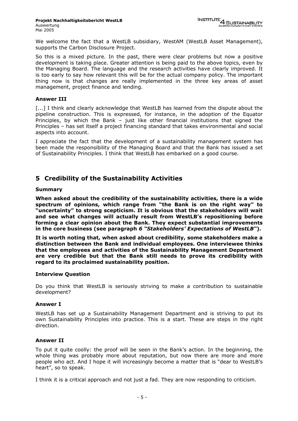We welcome the fact that a WestLB subsidiary, WestAM (WestLB Asset Management), supports the Carbon Disclosure Project.

So this is a mixed picture. In the past, there were clear problems but now a positive development is taking place. Greater attention is being paid to the above topics, even by the Managing Board. The language and the research activities have clearly improved. It is too early to say how relevant this will be for the actual company policy. The important thing now is that changes are really implemented in the three key areas of asset management, project finance and lending.

#### **Answer III**

[...] I think and clearly acknowledge that WestLB has learned from the dispute about the pipeline construction. This is expressed, for instance, in the adoption of the Equator Principles, by which the Bank – just like other financial institutions that signed the Principles – has set itself a project financing standard that takes environmental and social aspects into account.

I appreciate the fact that the development of a sustainability management system has been made the responsibility of the Managing Board and that the Bank has issued a set of Sustainability Principles. I think that WestLB has embarked on a good course.

# **5 Credibility of the Sustainability Activities**

### **Summary**

**When asked about the credibility of the sustainability activities, there is a wide spectrum of opinions, which range from "the Bank is on the right way" to "uncertainty" to strong scepticism. It is obvious that the stakeholders will wait and see what changes will actually result from WestLB's repositioning before forming a clear opinion about the Bank. They expect substantial improvements in the core business (see paragraph** *6 "Stakeholders' Expectations of WestLB"***).** 

**It is worth noting that, when asked about credibility, some stakeholders make a distinction between the Bank and individual employees. One interviewee thinks that the employees and activities of the Sustainability Management Department are very credible but that the Bank still needs to prove its credibility with regard to its proclaimed sustainability position.** 

#### **Interview Question**

Do you think that WestLB is seriously striving to make a contribution to sustainable development?

#### **Answer I**

WestLB has set up a Sustainability Management Department and is striving to put its own Sustainability Principles into practice. This is a start. These are steps in the right direction.

#### **Answer II**

To put it quite coolly: the proof will be seen in the Bank's action. In the beginning, the whole thing was probably more about reputation, but now there are more and more people who act. And I hope it will increasingly become a matter that is "dear to WestLB's heart", so to speak.

I think it is a critical approach and not just a fad. They are now responding to criticism.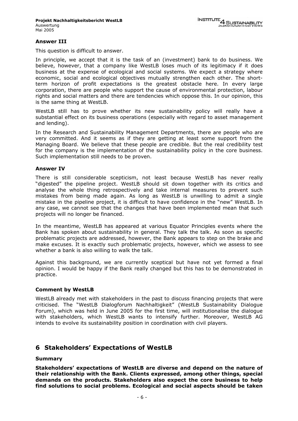#### **Answer III**

This question is difficult to answer.

In principle, we accept that it is the task of an (investment) bank to do business. We believe, however, that a company like WestLB loses much of its legitimacy if it does business at the expense of ecological and social systems. We expect a strategy where economic, social and ecological objectives mutually strengthen each other. The shortterm horizon of profit expectations is the greatest obstacle here. In every large corporation, there are people who support the cause of environmental protection, labour rights and social matters and there are tendencies which oppose this. In our opinion, this is the same thing at WestLB.

WestLB still has to prove whether its new sustainability policy will really have a substantial effect on its business operations (especially with regard to asset management and lending).

In the Research and Sustainability Management Departments, there are people who are very committed. And it seems as if they are getting at least some support from the Managing Board. We believe that these people are credible. But the real credibility test for the company is the implementation of the sustainability policy in the core business. Such implementation still needs to be proven.

#### **Answer IV**

There is still considerable scepticism, not least because WestLB has never really "digested" the pipeline project. WestLB should sit down together with its critics and analyse the whole thing retrospectively and take internal measures to prevent such mistakes from being made again. As long as WestLB is unwilling to admit a single mistake in the pipeline project, it is difficult to have confidence in the "new" WestLB. In any case, we cannot see that the changes that have been implemented mean that such projects will no longer be financed.

In the meantime, WestLB has appeared at various Equator Principles events where the Bank has spoken about sustainability in general. They talk the talk. As soon as specific problematic projects are addressed, however, the Bank appears to step on the brake and make excuses. It is exactly such problematic projects, however, which we assess to see whether a bank is also willing to walk the talk.

Against this background, we are currently sceptical but have not yet formed a final opinion. I would be happy if the Bank really changed but this has to be demonstrated in practice.

#### **Comment by WestLB**

WestLB already met with stakeholders in the past to discuss financing projects that were criticised. The "WestLB Dialogforum Nachhaltigkeit" (WestLB Sustainability Dialogue Forum), which was held in June 2005 for the first time, will institutionalise the dialogue with stakeholders, which WestLB wants to intensify further. Moreover, WestLB AG intends to evolve its sustainability position in coordination with civil players.

# **6 Stakeholders' Expectations of WestLB**

#### **Summary**

**Stakeholders' expectations of WestLB are diverse and depend on the nature of their relationship with the Bank. Clients expressed, among other things, special demands on the products. Stakeholders also expect the core business to help find solutions to social problems. Ecological and social aspects should be taken**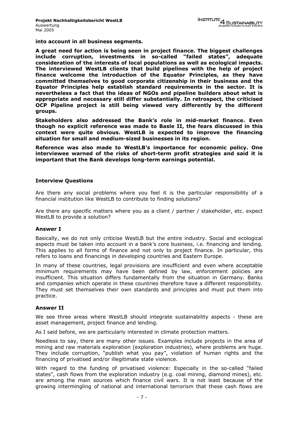**into account in all business segments.** 

**A great need for action is being seen in project finance. The biggest challenges include corruption, investments in so-called "failed states", adequate consideration of the interests of local populations as well as ecological impacts. The interviewed WestLB clients that build pipelines with the help of project finance welcome the introduction of the Equator Principles, as they have committed themselves to good corporate citizenship in their business and the Equator Principles help establish standard requirements in the sector. It is nevertheless a fact that the ideas of NGOs and pipeline builders about what is appropriate and necessary still differ substantially. In retrospect, the criticised OCP Pipeline project is still being viewed very differently by the different groups.** 

**Stakeholders also addressed the Bank's role in mid-market finance. Even though no explicit reference was made to Basle II, the fears discussed in this context were quite obvious. WestLB is expected to improve the financing situation for small and medium-sized businesses in its region.** 

**Reference was also made to WestLB's importance for economic policy. One interviewee warned of the risks of short-term profit strategies and said it is important that the Bank develops long-term earnings potential.** 

#### **Interview Questions**

Are there any social problems where you feel it is the particular responsibility of a financial institution like WestLB to contribute to finding solutions?

Are there any specific matters where you as a client / partner / stakeholder, etc. expect WestLB to provide a solution?

#### **Answer I**

Basically, we do not only criticise WestLB but the entire industry. Social and ecological aspects must be taken into account in a bank's core business, i.e. financing and lending. This applies to all forms of finance and not only to project finance. In particular, this refers to loans and financings in developing countries and Eastern Europe.

In many of these countries, legal provisions are insufficient and even where acceptable minimum requirements may have been defined by law, enforcement policies are insufficient. This situation differs fundamentally from the situation in Germany. Banks and companies which operate in these countries therefore have a different responsibility. They must set themselves their own standards and principles and must put them into practice.

#### **Answer II**

We see three areas where WestLB should integrate sustainability aspects - these are asset management, project finance and lending.

As I said before, we are particularly interested in climate protection matters.

Needless to say, there are many other issues. Examples include projects in the area of mining and raw materials exploration (exploration industries), where problems are huge. They include corruption, "publish what you pay", violation of human rights and the financing of privatised and/or illegitimate state violence.

With regard to the funding of privatised violence: Especially in the so-called "failed states", cash flows from the exploration industry (e.g. coal mining, diamond mines), etc. are among the main sources which finance civil wars. It is not least because of the growing intermingling of national and international terrorism that these cash flows are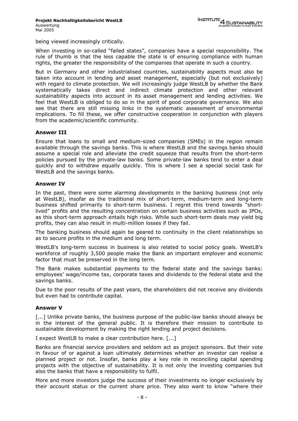being viewed increasingly critically.

When investing in so-called "failed states", companies have a special responsibility. The rule of thumb is that the less capable the state is of ensuring compliance with human rights, the greater the responsibility of the companies that operate in such a country.

But in Germany and other industrialised countries, sustainability aspects must also be taken into account in lending and asset management, especially (but not exclusively) with regard to climate protection. We will increasingly judge WestLB by whether the Bank systematically takes direct and indirect climate protection and other relevant sustainability aspects into account in its asset management and lending activities. We feel that WestLB is obliged to do so in the spirit of good corporate governance. We also see that there are still missing links in the systematic assessment of environmental implications. To fill these, we offer constructive cooperation in conjunction with players from the academic/scientific community.

#### **Answer III**

Ensure that loans to small and medium-sized companies (SMEs) in the region remain available through the savings banks. This is where WestLB and the savings banks should assume a special role and alleviate the credit squeeze that results from the short-term policies pursued by the private-law banks. Some private-law banks tend to enter a deal quickly and to withdraw equally quickly. This is where I see a special social task for WestLB and the savings banks.

#### **Answer IV**

In the past, there were some alarming developments in the banking business (not only at WestLB), insofar as the traditional mix of short-term, medium-term and long-term business shifted primarily to short-term business. I regret this trend towards "shortlived" profits and the resulting concentration on certain business activities such as IPOs, as this short-term approach entails high risks. While such short-term deals may yield big profits, they can also result in multi-million losses if they fail.

The banking business should again be geared to continuity in the client relationships so as to secure profits in the medium and long term.

WestLB's long-term success in business is also related to social policy goals. WestLB's workforce of roughly 3,500 people make the Bank an important employer and economic factor that must be preserved in the long term.

The Bank makes substantial payments to the federal state and the savings banks: employees' wage/income tax, corporate taxes and dividends to the federal state and the savings banks.

Due to the poor results of the past years, the shareholders did not receive any dividends but even had to contribute capital.

#### **Answer V**

[...] Unlike private banks, the business purpose of the public-law banks should always be in the interest of the general public. It is therefore their mission to contribute to sustainable development by making the right lending and project decisions.

I expect WestLB to make a clear contribution here. [...]

Banks are financial service providers and seldom act as project sponsors. But their vote in favour of or against a loan ultimately determines whether an investor can realise a planned project or not. Insofar, banks play a key role in reconciling capital spending projects with the objective of sustainability. It is not only the investing companies but also the banks that have a responsibility to fulfil.

More and more investors judge the success of their investments no longer exclusively by their account status or the current share price. They also want to know "where their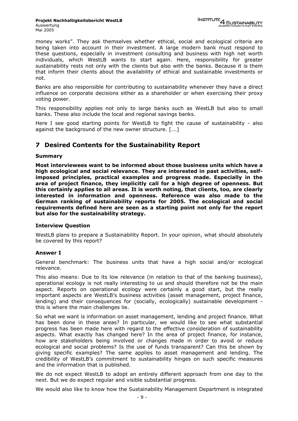money works". They ask themselves whether ethical, social and ecological criteria are being taken into account in their investment. A large modern bank must respond to these questions, especially in investment consulting and business with high net worth individuals, which WestLB wants to start again. Here, responsibility for greater sustainability rests not only with the clients but also with the banks. Because it is them that inform their clients about the availability of ethical and sustainable investments or not.

Banks are also responsible for contributing to sustainability whenever they have a direct influence on corporate decisions either as a shareholder or when exercising their proxy voting power.

This responsibility applies not only to large banks such as WestLB but also to small banks. These also include the local and regional savings banks.

Here I see good starting points for WestLB to fight the cause of sustainability - also against the background of the new owner structure. [...]

# **7 Desired Contents for the Sustainability Report**

### **Summary**

**Most interviewees want to be informed about those business units which have a high ecological and social relevance. They are interested in past activities, selfimposed principles, practical examples and progress made. Especially in the area of project finance, they implicitly call for a high degree of openness. But this certainly applies to all areas. It is worth noting, that clients, too, are clearly interested in information and openness. Reference was also made to the German ranking of sustainability reports for 2005. The ecological and social requirements defined here are seen as a starting point not only for the report but also for the sustainability strategy.** 

#### **Interview Question**

WestLB plans to prepare a Sustainability Report. In your opinion, what should absolutely be covered by this report?

# **Answer I**

General benchmark: The business units that have a high social and/or ecological relevance.

This also means: Due to its low relevance (in relation to that of the banking business), operational ecology is not really interesting to us and should therefore not be the main aspect. Reports on operational ecology were certainly a good start, but the really important aspects are WestLB's business activities (asset management, project finance, lending) and their consequences for (socially, ecologically) sustainable development this is where the main challenges lie.

So what we want is information on asset management, lending and project finance. What has been done in these areas? In particular, we would like to see what substantial progress has been made here with regard to the effective consideration of sustainability aspects. What exactly has changed here? In the area of project finance, for instance, how are stakeholders being involved or changes made in order to avoid or reduce ecological and social problems? Is the use of funds transparent? Can this be shown by giving specific examples? The same applies to asset management and lending. The credibility of WestLB's commitment to sustainability hinges on such specific measures and the information that is published.

We do not expect WestLB to adopt an entirely different approach from one day to the next. But we do expect regular and visible substantial progress.

We would also like to know how the Sustainability Management Department is integrated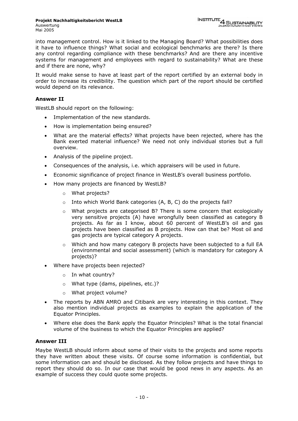into management control. How is it linked to the Managing Board? What possibilities does it have to influence things? What social and ecological benchmarks are there? Is there any control regarding compliance with these benchmarks? And are there any incentive systems for management and employees with regard to sustainability? What are these and if there are none, why?

It would make sense to have at least part of the report certified by an external body in order to increase its credibility. The question which part of the report should be certified would depend on its relevance.

### **Answer II**

WestLB should report on the following:

- Implementation of the new standards.
- How is implementation being ensured?
- What are the material effects? What projects have been rejected, where has the Bank exerted material influence? We need not only individual stories but a full overview.
- Analysis of the pipeline project.
- Consequences of the analysis, i.e. which appraisers will be used in future.
- Economic significance of project finance in WestLB's overall business portfolio.
- How many projects are financed by WestLB?
	- o What projects?
	- $\circ$  Into which World Bank categories (A, B, C) do the projects fall?
	- $\circ$  What projects are categorised B? There is some concern that ecologically very sensitive projects (A) have wrongfully been classified as category B projects. As far as I know, about 60 percent of WestLB's oil and gas projects have been classified as B projects. How can that be? Most oil and gas projects are typical category A projects.
	- $\circ$  Which and how many category B projects have been subjected to a full EA (environmental and social assessment) (which is mandatory for category A projects)?
- Where have projects been rejected?
	- o In what country?
	- o What type (dams, pipelines, etc.)?
	- o What project volume?
- The reports by ABN AMRO and Citibank are very interesting in this context. They also mention individual projects as examples to explain the application of the Equator Principles.
- Where else does the Bank apply the Equator Principles? What is the total financial volume of the business to which the Equator Principles are applied?

# **Answer III**

Maybe WestLB should inform about some of their visits to the projects and some reports they have written about these visits. Of course some information is confidential, but some information can and should be disclosed. As they follow projects and have things to report they should do so. In our case that would be good news in any aspects. As an example of success they could quote some projects.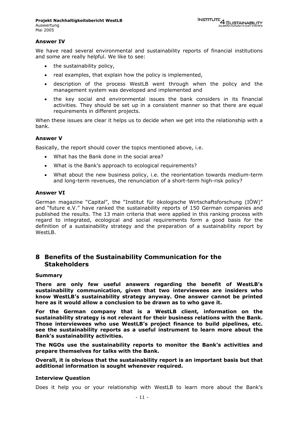#### **Answer IV**

We have read several environmental and sustainability reports of financial institutions and some are really helpful. We like to see:

- the sustainability policy,
- real examples, that explain how the policy is implemented,
- description of the process WestLB went through when the policy and the management system was developed and implemented and
- the key social and environmental issues the bank considers in its financial activities. They should be set up in a consistent manner so that there are equal requirements in different projects.

When these issues are clear it helps us to decide when we get into the relationship with a bank.

#### **Answer V**

Basically, the report should cover the topics mentioned above, i.e.

- What has the Bank done in the social area?
- What is the Bank's approach to ecological requirements?
- What about the new business policy, i.e. the reorientation towards medium-term and long-term revenues, the renunciation of a short-term high-risk policy?

#### **Answer VI**

German magazine "Capital", the "Institut für ökologische Wirtschaftsforschung (IÖW)" and "future e.V." have ranked the sustainability reports of 150 German companies and published the results. The 13 main criteria that were applied in this ranking process with regard to integrated, ecological and social requirements form a good basis for the definition of a sustainability strategy and the preparation of a sustainability report by WestLB.

# **8 Benefits of the Sustainability Communication for the Stakeholders**

#### **Summary**

**There are only few useful answers regarding the benefit of WestLB's sustainability communication, given that two interviewees are insiders who know WestLB's sustainability strategy anyway. One answer cannot be printed here as it would allow a conclusion to be drawn as to who gave it.** 

**For the German company that is a WestLB client, information on the sustainability strategy is not relevant for their business relations with the Bank. Those interviewees who use WestLB's project finance to build pipelines, etc. see the sustainability reports as a useful instrument to learn more about the Bank's sustainability activities.** 

**The NGOs use the sustainability reports to monitor the Bank's activities and prepare themselves for talks with the Bank.** 

**Overall, it is obvious that the sustainability report is an important basis but that additional information is sought whenever required.** 

#### **Interview Question**

Does it help you or your relationship with WestLB to learn more about the Bank's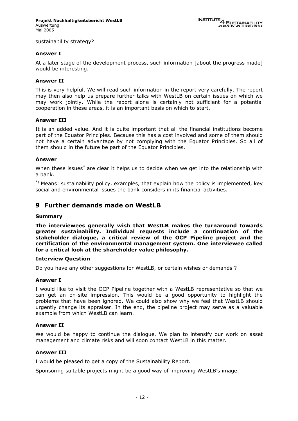sustainability strategy?

#### **Answer I**

At a later stage of the development process, such information [about the progress made] would be interesting.

#### **Answer II**

This is very helpful. We will read such information in the report very carefully. The report may then also help us prepare further talks with WestLB on certain issues on which we may work jointly. While the report alone is certainly not sufficient for a potential cooperation in these areas, it is an important basis on which to start.

#### **Answer III**

It is an added value. And it is quite important that all the financial institutions become part of the Equator Principles. Because this has a cost involved and some of them should not have a certain advantage by not complying with the Equator Principles. So all of them should in the future be part of the Equator Principles.

#### **Answer**

When these issues<sup>\*</sup> are clear it helps us to decide when we get into the relationship with a bank.

 $*$ ) Means: sustainability policy, examples, that explain how the policy is implemented, key social and environmental issues the bank considers in its financial activities.

# **9 Further demands made on WestLB**

#### **Summary**

**The interviewees generally wish that WestLB makes the turnaround towards greater sustainability. Individual requests include a continuation of the stakeholder dialogue, a critical review of the OCP Pipeline project and the certification of the environmental management system. One interviewee called for a critical look at the shareholder value philosophy.** 

#### **Interview Question**

Do you have any other suggestions for WestLB, or certain wishes or demands ?

#### **Answer I**

I would like to visit the OCP Pipeline together with a WestLB representative so that we can get an on-site impression. This would be a good opportunity to highlight the problems that have been ignored. We could also show why we feel that WestLB should urgently change its appraiser. In the end, the pipeline project may serve as a valuable example from which WestLB can learn.

#### **Answer II**

We would be happy to continue the dialogue. We plan to intensify our work on asset management and climate risks and will soon contact WestLB in this matter.

#### **Answer III**

I would be pleased to get a copy of the Sustainability Report.

Sponsoring suitable projects might be a good way of improving WestLB's image.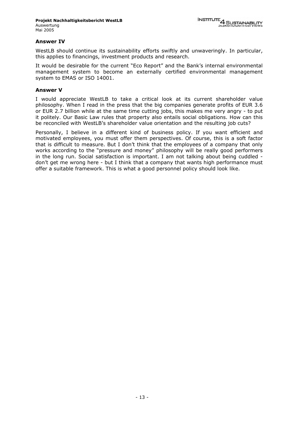#### **Answer IV**

WestLB should continue its sustainability efforts swiftly and unwaveringly. In particular, this applies to financings, investment products and research.

It would be desirable for the current "Eco Report" and the Bank's internal environmental management system to become an externally certified environmental management system to EMAS or ISO 14001.

#### **Answer V**

I would appreciate WestLB to take a critical look at its current shareholder value philosophy. When I read in the press that the big companies generate profits of EUR 3.6 or EUR 2.7 billion while at the same time cutting jobs, this makes me very angry - to put it politely. Our Basic Law rules that property also entails social obligations. How can this be reconciled with WestLB's shareholder value orientation and the resulting job cuts?

Personally, I believe in a different kind of business policy. If you want efficient and motivated employees, you must offer them perspectives. Of course, this is a soft factor that is difficult to measure. But I don't think that the employees of a company that only works according to the "pressure and money" philosophy will be really good performers in the long run. Social satisfaction is important. I am not talking about being cuddled don't get me wrong here - but I think that a company that wants high performance must offer a suitable framework. This is what a good personnel policy should look like.